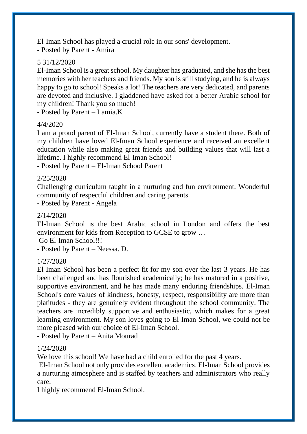El-Iman School has played a crucial role in our sons' development. - Posted by Parent - Amira

# 5 31/12/2020

El-Iman School is a great school. My daughter has graduated, and she has the best memories with her teachers and friends. My son is still studying, and he is always happy to go to school! Speaks a lot! The teachers are very dedicated, and parents are devoted and inclusive. I gladdened have asked for a better Arabic school for my children! Thank you so much!

- Posted by Parent – Lamia.K

### 4/4/2020

I am a proud parent of El-Iman School, currently have a student there. Both of my children have loved El-Iman School experience and received an excellent education while also making great friends and building values that will last a lifetime. I highly recommend El-Iman School!

- Posted by Parent – El-Iman School Parent

## 2/25/2020

Challenging curriculum taught in a nurturing and fun environment. Wonderful community of respectful children and caring parents.

- Posted by Parent - Angela

## 2/14/2020

El-Iman School is the best Arabic school in London and offers the best environment for kids from Reception to GCSE to grow …

Go El-Iman School!!!

- Posted by Parent – Neessa. D.

# 1/27/2020

El-Iman School has been a perfect fit for my son over the last 3 years. He has been challenged and has flourished academically; he has matured in a positive, supportive environment, and he has made many enduring friendships. El-Iman School's core values of kindness, honesty, respect, responsibility are more than platitudes - they are genuinely evident throughout the school community. The teachers are incredibly supportive and enthusiastic, which makes for a great learning environment. My son loves going to El-Iman School, we could not be more pleased with our choice of El-Iman School.

- Posted by Parent – Anita Mourad

# 1/24/2020

We love this school! We have had a child enrolled for the past 4 years.

El-Iman School not only provides excellent academics. El-Iman School provides a nurturing atmosphere and is staffed by teachers and administrators who really care.

I highly recommend El-Iman School.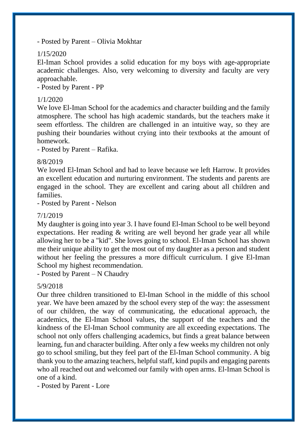- Posted by Parent – Olivia Mokhtar

## 1/15/2020

El-Iman School provides a solid education for my boys with age-appropriate academic challenges. Also, very welcoming to diversity and faculty are very approachable.

- Posted by Parent - PP

### 1/1/2020

We love El-Iman School for the academics and character building and the family atmosphere. The school has high academic standards, but the teachers make it seem effortless. The children are challenged in an intuitive way, so they are pushing their boundaries without crying into their textbooks at the amount of homework.

- Posted by Parent – Rafika.

### 8/8/2019

We loved El-Iman School and had to leave because we left Harrow. It provides an excellent education and nurturing environment. The students and parents are engaged in the school. They are excellent and caring about all children and families.

- Posted by Parent - Nelson

### 7/1/2019

My daughter is going into year 3. I have found El-Iman School to be well beyond expectations. Her reading & writing are well beyond her grade year all while allowing her to be a "kid". She loves going to school. El-Iman School has shown me their unique ability to get the most out of my daughter as a person and student without her feeling the pressures a more difficult curriculum. I give El-Iman School my highest recommendation.

- Posted by Parent – N Chaudry

### 5/9/2018

Our three children transitioned to El-Iman School in the middle of this school year. We have been amazed by the school every step of the way: the assessment of our children, the way of communicating, the educational approach, the academics, the El-Iman School values, the support of the teachers and the kindness of the El-Iman School community are all exceeding expectations. The school not only offers challenging academics, but finds a great balance between learning, fun and character building. After only a few weeks my children not only go to school smiling, but they feel part of the El-Iman School community. A big thank you to the amazing teachers, helpful staff, kind pupils and engaging parents who all reached out and welcomed our family with open arms. El-Iman School is one of a kind.

- Posted by Parent - Lore